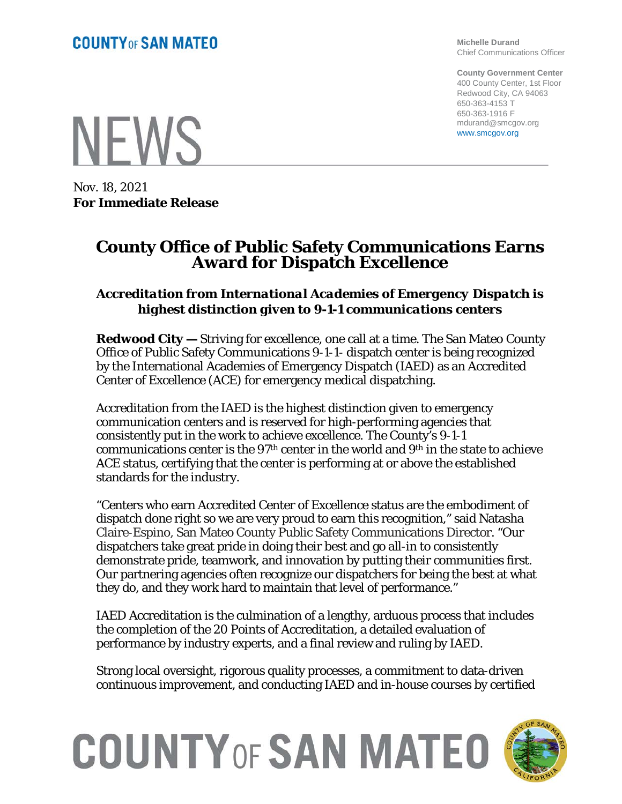**Michelle Durand** Chief Communications Officer

**County Government Center** 400 County Center, 1st Floor Redwood City, CA 94063 650-363-4153 T 650-363-1916 F mdurand@smcgov.org www.smcgov.org

**NEWS** 

Nov. 18, 2021 **For Immediate Release**

## **County Office of Public Safety Communications Earns Award for Dispatch Excellence**

## *Accreditation from International Academies of Emergency Dispatch is highest distinction given to 9-1-1 communications centers*

**Redwood City —** Striving for excellence, one call at a time. The San Mateo County Office of Public Safety Communications 9-1-1- dispatch center is being recognized by the International Academies of Emergency Dispatch (IAED) as an Accredited Center of Excellence (ACE) for emergency medical dispatching.

Accreditation from the IAED is the highest distinction given to emergency communication centers and is reserved for high-performing agencies that consistently put in the work to achieve excellence. The County's 9-1-1 communications center is the 97th center in the world and 9th in the state to achieve ACE status, certifying that the center is performing at or above the established standards for the industry.

"Centers who earn Accredited Center of Excellence status are the embodiment of dispatch done right so we are very proud to earn this recognition," said Natasha Claire-Espino, San Mateo County Public Safety Communications Director. "Our dispatchers take great pride in doing their best and go all-in to consistently demonstrate pride, teamwork, and innovation by putting their communities first. Our partnering agencies often recognize our dispatchers for being the best at what they do, and they work hard to maintain that level of performance."

IAED Accreditation is the culmination of a lengthy, arduous process that includes the completion of the 20 Points of Accreditation, a detailed evaluation of performance by industry experts, and a final review and ruling by IAED.

Strong local oversight, rigorous quality processes, a commitment to data-driven continuous improvement, and conducting IAED and in-house courses by certified

## **COUNTY OF SAN MATEO**